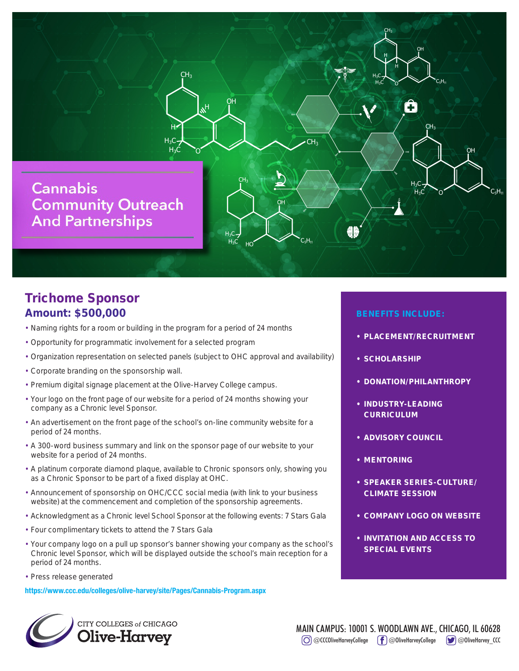

## Trichome Sponsor Amount: \$500,000

- Naming rights for a room or building in the program for a period of 24 months
- Opportunity for programmatic involvement for a selected program
- Organization representation on selected panels (subject to OHC approval and availability)
- Corporate branding on the sponsorship wall.
- Premium digital signage placement at the Olive-Harvey College campus.
- Your logo on the front page of our website for a period of 24 months showing your company as a Chronic level Sponsor.
- An advertisement on the front page of the school's on-line community website for a period of 24 months.
- A 300-word business summary and link on the sponsor page of our website to your website for a period of 24 months.
- A platinum corporate diamond plaque, available to Chronic sponsors only, showing you as a Chronic Sponsor to be part of a fixed display at OHC.
- Announcement of sponsorship on OHC/CCC social media (with link to your business website) at the commencement and completion of the sponsorship agreements.
- Acknowledgment as a Chronic level School Sponsor at the following events: 7 Stars Gala
- Four complimentary tickets to attend the 7 Stars Gala
- Your company logo on a pull up sponsor's banner showing your company as the school's Chronic level Sponsor, which will be displayed outside the school's main reception for a period of 24 months.
- Press release generated

**https://www.ccc.edu/colleges/olive-harvey/site/Pages/Cannabis-Program.aspx**

## CITY COLLEGES of CHICAGO

- PLACEMENT/RECRUITMENT
- SCHOLARSHIP
- DONATION/PHILANTHROPY
- INDUSTRY-LEADING **CURRICULUM**
- ADVISORY COUNCIL
- MENTORING
- SPEAKER SERIES-CULTURE/ CLIMATE SESSION
- COMPANY LOGO ON WEBSITE
- INVITATION AND ACCESS TO SPECIAL EVENTS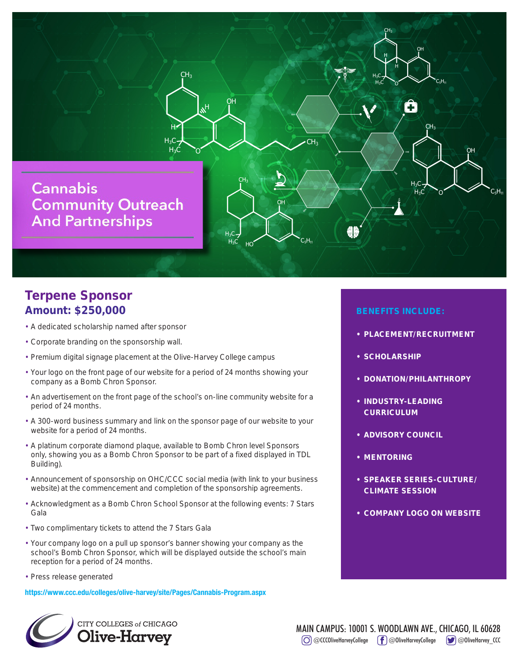

## Terpene Sponsor Amount: \$250,000

- A dedicated scholarship named after sponsor
- Corporate branding on the sponsorship wall.
- Premium digital signage placement at the Olive-Harvey College campus
- Your logo on the front page of our website for a period of 24 months showing your company as a Bomb Chron Sponsor.
- An advertisement on the front page of the school's on-line community website for a period of 24 months.
- A 300-word business summary and link on the sponsor page of our website to your website for a period of 24 months.
- A platinum corporate diamond plaque, available to Bomb Chron level Sponsors only, showing you as a Bomb Chron Sponsor to be part of a fixed displayed in TDL Building).
- Announcement of sponsorship on OHC/CCC social media (with link to your business website) at the commencement and completion of the sponsorship agreements.
- Acknowledgment as a Bomb Chron School Sponsor at the following events: 7 Stars Gala
- Two complimentary tickets to attend the 7 Stars Gala
- Your company logo on a pull up sponsor's banner showing your company as the school's Bomb Chron Sponsor, which will be displayed outside the school's main reception for a period of 24 months.
- Press release generated

**https://www.ccc.edu/colleges/olive-harvey/site/Pages/Cannabis-Program.aspx**



- PLACEMENT/RECRUITMENT
- SCHOLARSHIP
- DONATION/PHILANTHROPY
- INDUSTRY-LEADING **CURRICULUM**
- ADVISORY COUNCIL
- MENTORING
- SPEAKER SERIES-CULTURE/ CLIMATE SESSION
- COMPANY LOGO ON WEBSITE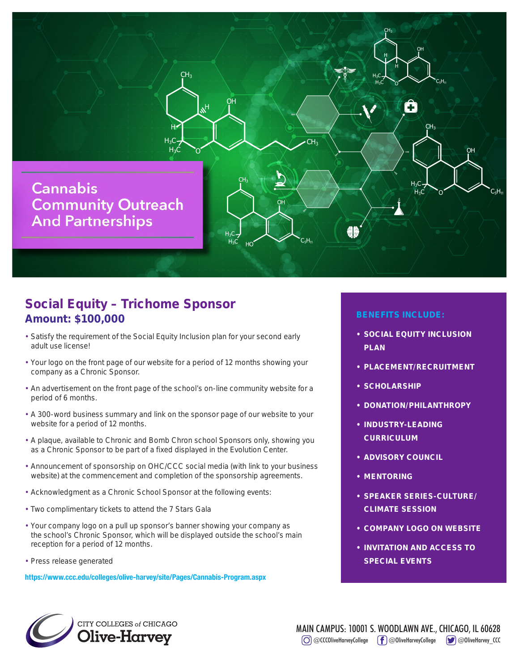

## Social Equity – Trichome Sponsor Amount: \$100,000

- Satisfy the requirement of the Social Equity Inclusion plan for your second early adult use license!
- Your logo on the front page of our website for a period of 12 months showing your company as a Chronic Sponsor.
- An advertisement on the front page of the school's on-line community website for a period of 6 months.
- A 300-word business summary and link on the sponsor page of our website to your website for a period of 12 months.
- A plaque, available to Chronic and Bomb Chron school Sponsors only, showing you as a Chronic Sponsor to be part of a fixed displayed in the Evolution Center.
- Announcement of sponsorship on OHC/CCC social media (with link to your business website) at the commencement and completion of the sponsorship agreements.
- Acknowledgment as a Chronic School Sponsor at the following events:
- Two complimentary tickets to attend the 7 Stars Gala
- Your company logo on a pull up sponsor's banner showing your company as the school's Chronic Sponsor, which will be displayed outside the school's main reception for a period of 12 months.
- Press release generated

**https://www.ccc.edu/colleges/olive-harvey/site/Pages/Cannabis-Program.aspx**

- SOCIAL EQUITY INCLUSION PLAN
- PLACEMENT/RECRUITMENT
- SCHOLARSHIP
- DONATION/PHILANTHROPY
- INDUSTRY-LEADING **CURRICULUM**
- ADVISORY COUNCIL
- MENTORING
- SPEAKER SERIES-CULTURE/ CLIMATE SESSION
- COMPANY LOGO ON WEBSITE
- INVITATION AND ACCESS TO SPECIAL EVENTS

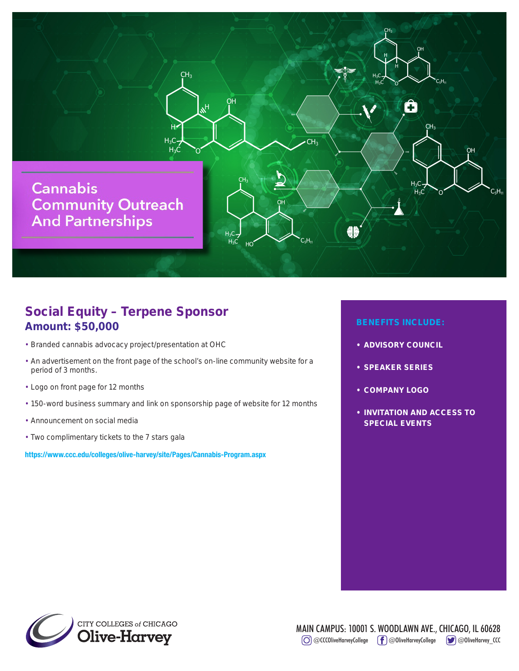

## Social Equity – Terpene Sponsor Amount: \$50,000

- Branded cannabis advocacy project/presentation at OHC
- An advertisement on the front page of the school's on-line community website for a period of 3 months.
- Logo on front page for 12 months
- 150-word business summary and link on sponsorship page of website for 12 months
- Announcement on social media
- Two complimentary tickets to the 7 stars gala

**https://www.ccc.edu/colleges/olive-harvey/site/Pages/Cannabis-Program.aspx**

- ADVISORY COUNCIL
- SPEAKER SERIES
- COMPANY LOGO
- INVITATION AND ACCESS TO SPECIAL EVENTS

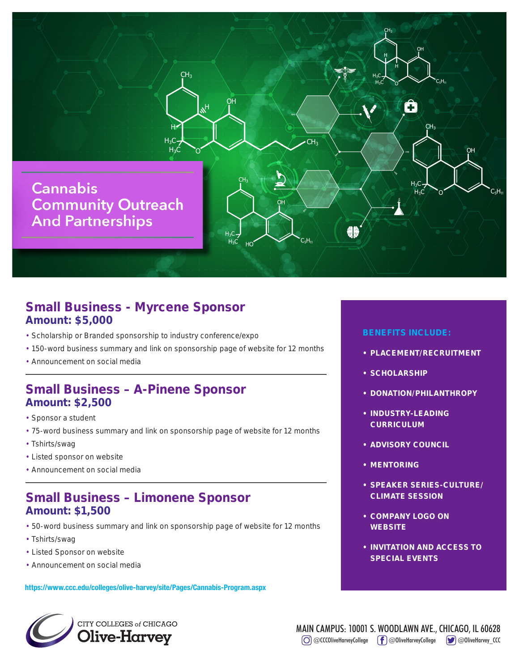

## Small Business - Myrcene Sponsor Amount: \$5,000

- Scholarship or Branded sponsorship to industry conference/expo
- 150-word business summary and link on sponsorship page of website for 12 months
- Announcement on social media

#### Small Business – A-Pinene Sponsor Amount: \$2,500

- Sponsor a student
- 75-word business summary and link on sponsorship page of website for 12 months
- Tshirts/swag
- Listed sponsor on website
- Announcement on social media

## Small Business – Limonene Sponsor Amount: \$1,500

- 50-word business summary and link on sponsorship page of website for 12 months
- Tshirts/swag
- Listed Sponsor on website
- Announcement on social media

**https://www.ccc.edu/colleges/olive-harvey/site/Pages/Cannabis-Program.aspx**

# CITY COLLEGES of CHICAGO

- PLACEMENT/RECRUITMENT
- SCHOLARSHIP
- DONATION/PHILANTHROPY
- INDUSTRY-LEADING **CURRICULUM**
- ADVISORY COUNCIL
- MENTORING
- SPEAKER SERIES-CULTURE/ CLIMATE SESSION
- COMPANY LOGO ON **WEBSITE**
- INVITATION AND ACCESS TO SPECIAL EVENTS